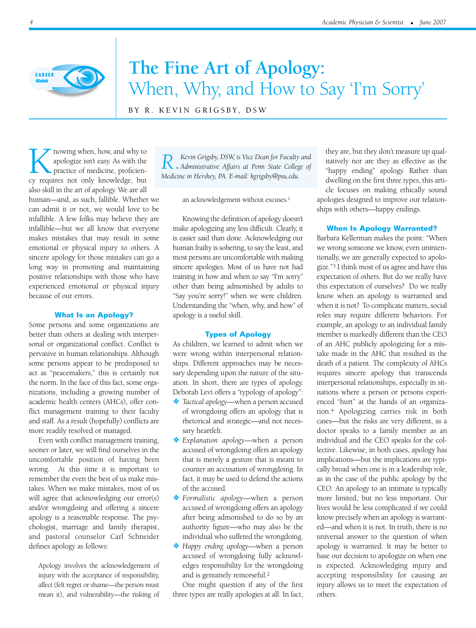

# **The Fine Art of Apology:** When, Why, and How to Say 'I'm Sorry'

BY R. KEVIN GRIGSBY, DSW

**K** nowing when, how, and why to apologize isn't easy. As with the practice of medicine, proficiency requires not only knowledge, but apologize isn't easy. As with the practice of medicine, proficienalso skill in the art of apology. We are all human—and, as such, fallible. Whether we can admit it or not, we would love to be infallible. A few folks may believe they are infallible—but we all know that everyone makes mistakes that may result in some emotional or physical injury to others. A sincere apology for those mistakes can go a long way in promoting and maintaining positive relationships with those who have experienced emotional or physical injury because of our errors.

#### **What Is an Apology?**

Some persons and some organizations are better than others at dealing with interpersonal or organizational conflict. Conflict is pervasive in human relationships. Although some persons appear to be predisposed to act as "peacemakers," this is certainly not the norm. In the face of this fact, some organizations, including a growing number of academic health centers (AHCs), offer conflict management training to their faculty and staff. As a result (hopefully) conflicts are more readily resolved or managed.

Even with conflict management training, sooner or later, we will find ourselves in the uncomfortable position of having been wrong. At this time it is important to remember the even the best of us make mistakes. When we make mistakes, most of us will agree that acknowledging our error(s) and/or wrongdoing and offering a sincere apology is a reasonable response. The psychologist, marriage and family therapist, and pastoral counselor Carl Schneider defines apology as follows:

Apology involves the acknowledgement of injury with the acceptance of responsibility, affect (felt regret or shame—the person must mean it), and vulnerability—the risking of

*R.Kevin Grigsby, DSW, is Vice Dean for Faculty and Administrative Affairs at Penn State College of Medicine in Hershey, PA. E-mail: kgrigsby@psu.edu.* 

an acknowledgement without excuses.1

Knowing the definition of apology doesn't make apologizing any less difficult. Clearly, it is easier said than done. Acknowledging our human frailty is sobering, to say the least, and most persons are uncomfortable with making sincere apologies. Most of us have not had training in how and when to say "I'm sorry" other than being admonished by adults to "Say you're sorry!" when we were children. Understanding the "when, why, and how" of apology is a useful skill.

#### **Types of Apology**

As children, we learned to admit when we were wrong within interpersonal relationships. Different approaches may be necessary depending upon the nature of the situation. In short, there are types of apology. Deborah Levi offers a "typology of apology":

- ❖ *Tactical apology*—when a person accused of wrongdoing offers an apology that is rhetorical and strategic—and not necessary heartfelt.
- ❖ *Explanation apology*—when a person accused of wrongdoing offers an apology that is merely a gesture that is meant to counter an accusation of wrongdoing. In fact, it may be used to defend the actions of the accused.
- ❖ *Formalistic apology*—when a person accused of wrongdoing offers an apology after being admonished to do so by an authority figure—who may also be the individual who suffered the wrongdoing.
- ❖ *Happy ending apology*—when a person accused of wrongdoing fully acknowledges responsibility for the wrongdoing and is genuinely remorseful.2

One might question if any of the first three types are really apologies at all. In fact,

they are, but they don't measure up qualitatively nor are they as effective as the "happy ending" apology. Rather than dwelling on the first three types, this article focuses on making ethically sound apologies designed to improve our relationships with others—happy endings.

#### **When Is Apology Warranted?**

Barbara Kellerman makes the point: "When we wrong someone we know, even unintentionally, we are generally expected to apologize."3 I think most of us agree and have this expectation of others. But do we really have this expectation of ourselves? Do we really know when an apology is warranted and when it is not? To complicate matters, social roles may require different behaviors. For example, an apology to an individual family member is markedly different than the CEO of an AHC publicly apologizing for a mistake made in the AHC that resulted in the death of a patient. The complexity of AHCs requires sincere apology that transcends interpersonal relationships, especially in situations where a person or persons experienced "hurt" at the hands of an organization.4 Apologizing carries risk in both cases—but the risks are very different, as a doctor speaks to a family member as an individual and the CEO speaks for the collective. Likewise, in both cases, apology has implications—but the implications are typically broad when one is in a leadership role, as in the case of the public apology by the CEO. An apology to an intimate is typically more limited, but no less important. Our lives would be less complicated if we could know precisely when an apology is warranted—and when it is not. In truth, there is no universal answer to the question of when apology is warranted. It may be better to base our decision to apologize on when one is expected. Acknowledging injury and accepting responsibility for causing an injury allows us to meet the expectation of others.